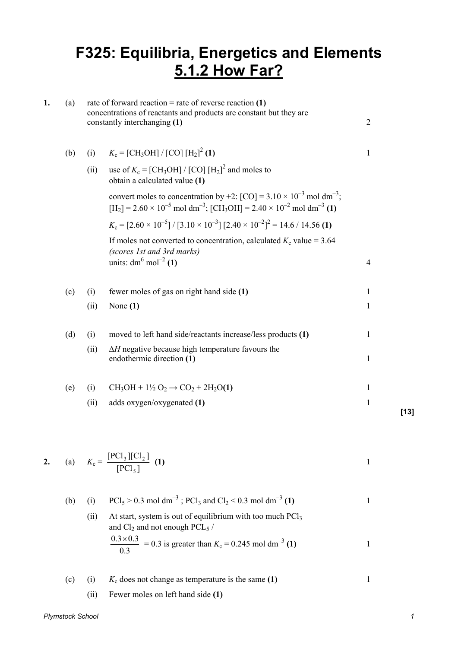## **F325: Equilibria, Energetics and Elements 5.1.2 How Far?**

| 1. | (a) | rate of forward reaction = rate of reverse reaction $(1)$<br>concentrations of reactants and products are constant but they are<br>constantly interchanging (1) |                                                                                                                                                                                                                           |                |        |
|----|-----|-----------------------------------------------------------------------------------------------------------------------------------------------------------------|---------------------------------------------------------------------------------------------------------------------------------------------------------------------------------------------------------------------------|----------------|--------|
|    | (b) | (i)                                                                                                                                                             | $K_c = [CH_3OH]/[CO][H_2]^2$ (1)                                                                                                                                                                                          | $\mathbf{1}$   |        |
|    |     | (ii)                                                                                                                                                            | use of $K_c = [CH_3OH]/[CO][H_2]^2$ and moles to<br>obtain a calculated value (1)                                                                                                                                         |                |        |
|    |     |                                                                                                                                                                 | convert moles to concentration by +2: $[CO] = 3.10 \times 10^{-3}$ mol dm <sup>-3</sup> ;<br>$[H_2] = 2.60 \times 10^{-5}$ mol dm <sup>-3</sup> ; [CH <sub>3</sub> OH] = 2.40 × 10 <sup>-2</sup> mol dm <sup>-3</sup> (1) |                |        |
|    |     |                                                                                                                                                                 | $K_c = [2.60 \times 10^{-5}] / [3.10 \times 10^{-3}] [2.40 \times 10^{-2}]^2 = 14.6 / 14.56$ (1)                                                                                                                          |                |        |
|    |     |                                                                                                                                                                 | If moles not converted to concentration, calculated $K_c$ value = 3.64<br>(scores 1st and 3rd marks)                                                                                                                      |                |        |
|    |     |                                                                                                                                                                 | units: $dm^6$ mol <sup>-2</sup> (1)                                                                                                                                                                                       | $\overline{4}$ |        |
|    | (c) | (i)                                                                                                                                                             | fewer moles of gas on right hand side (1)                                                                                                                                                                                 | $\mathbf{1}$   |        |
|    |     | (ii)                                                                                                                                                            | None $(1)$                                                                                                                                                                                                                | 1              |        |
|    | (d) | (i)                                                                                                                                                             | moved to left hand side/reactants increase/less products (1)                                                                                                                                                              | $\mathbf{1}$   |        |
|    |     | (ii)                                                                                                                                                            | $\Delta H$ negative because high temperature favours the<br>endothermic direction (1)                                                                                                                                     | $\mathbf{1}$   |        |
|    |     |                                                                                                                                                                 |                                                                                                                                                                                                                           |                |        |
|    | (e) | (i)                                                                                                                                                             | $CH_3OH + 1\frac{1}{2}O_2 \rightarrow CO_2 + 2H_2O(1)$                                                                                                                                                                    | 1              |        |
|    |     | (ii)                                                                                                                                                            | adds oxygen/oxygenated (1)                                                                                                                                                                                                | $\mathbf{1}$   | $[13]$ |
|    |     |                                                                                                                                                                 |                                                                                                                                                                                                                           |                |        |

2. (a) 
$$
K_c = \frac{[PCl_3][Cl_2]}{[PCl_5]}
$$
 (1)

(b) (i) 
$$
PCl_5 > 0.3 \text{ mol dm}^{-3}
$$
;  $PCl_3$  and  $Cl_2 < 0.3 \text{ mol dm}^{-3}$  (1) \n\n(i) At start, system is out of equilibrium with too much  $PCl_3$  and  $Cl_2$  and not enough  $PCL_5$  /  $\frac{0.3 \times 0.3}{0.3} = 0.3$  is greater than  $K_c = 0.245 \text{ mol dm}^{-3}$  (1) \n\n1

- $(c)$  (i)  $K_c$  does not change as temperature is the same  $(1)$  1
	- (ii) Fewer moles on left hand side **(1)**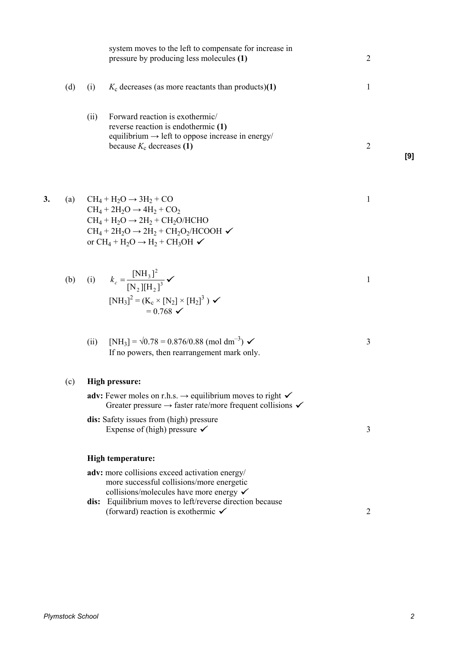|    |     | system moves to the left to compensate for increase in<br>pressure by producing less molecules (1)                                                                                                                                                                                                | $\overline{2}$ |     |
|----|-----|---------------------------------------------------------------------------------------------------------------------------------------------------------------------------------------------------------------------------------------------------------------------------------------------------|----------------|-----|
|    | (d) | $K_c$ decreases (as more reactants than products)(1)<br>(i)                                                                                                                                                                                                                                       | 1              |     |
|    |     | (ii)<br>Forward reaction is exothermic/<br>reverse reaction is endothermic (1)<br>equilibrium $\rightarrow$ left to oppose increase in energy/<br>because $K_c$ decreases (1)                                                                                                                     | $\overline{2}$ | [9] |
| 3. | (a) | $CH_4 + H_2O \rightarrow 3H_2 + CO$<br>$CH_4 + 2H_2O \rightarrow 4H_2 + CO_2$<br>$CH_4 + H_2O \rightarrow 2H_2 + CH_2O/HCHO$<br>$CH4 + 2H2O \rightarrow 2H2 + CH2O2/HCOOH \checkmark$<br>or $CH_4 + H_2O \rightarrow H_2 + CH_3OH \checkmark$                                                     | $\mathbf{1}$   |     |
|    | (b) | (i) $k_c = \frac{[NH_3]^2}{[N_2][H_2]^3}$ $\checkmark$<br>$[NH_3]^2 = (K_c \times [N_2] \times [H_2]^3)$<br>$= 0.768$ $\checkmark$                                                                                                                                                                | $\mathbf{1}$   |     |
|    |     | [NH <sub>3</sub> ] = $\sqrt{0.78}$ = 0.876/0.88 (mol dm <sup>-3</sup> ) $\checkmark$<br>(ii)<br>If no powers, then rearrangement mark only.                                                                                                                                                       | 3              |     |
|    | (c) | <b>High pressure:</b><br><b>adv:</b> Fewer moles on r.h.s. $\rightarrow$ equilibrium moves to right $\checkmark$<br>Greater pressure $\rightarrow$ faster rate/more frequent collisions $\checkmark$<br><b>dis:</b> Safety issues from (high) pressure<br>Expense of (high) pressure $\checkmark$ | 3              |     |
|    |     | High temperature:                                                                                                                                                                                                                                                                                 |                |     |
|    |     | adv: more collisions exceed activation energy/<br>more successful collisions/more energetic<br>collisions/molecules have more energy $\checkmark$<br>dis: Equilibrium moves to left/reverse direction because<br>(forward) reaction is exothermic $\checkmark$                                    | $\overline{2}$ |     |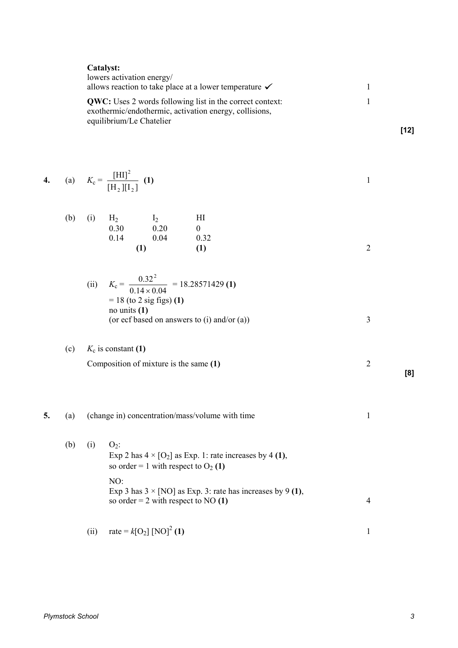|    |     |      | Catalyst:<br>lowers activation energy/<br>allows reaction to take place at a lower temperature $\checkmark$<br><b>QWC:</b> Uses 2 words following list in the correct context:<br>exothermic/endothermic, activation energy, collisions,<br>equilibrium/Le Chatelier | $\mathbf{1}$<br>$\mathbf{1}$                                      | $[12]$         |     |
|----|-----|------|----------------------------------------------------------------------------------------------------------------------------------------------------------------------------------------------------------------------------------------------------------------------|-------------------------------------------------------------------|----------------|-----|
| 4. |     |      | (a) $K_c = \frac{[H I]^2}{[H_2][I_2]}$ (1)                                                                                                                                                                                                                           |                                                                   | $\mathbf{1}$   |     |
|    | (b) | (i)  | $H_2$ $I_2$<br>0.20<br>0.30<br>0.04<br>0.14<br>(1)                                                                                                                                                                                                                   | HI<br>$\boldsymbol{0}$<br>0.32<br>(1)                             | $\overline{2}$ |     |
|    |     |      | (ii) $K_c = \frac{0.32^2}{0.14 \times 0.04} = 18.28571429$ (1)<br>$= 18$ (to 2 sig figs) (1)<br>no units $(1)$<br>(or ecf based on answers to (i) and/or (a))                                                                                                        |                                                                   | 3              |     |
|    | (c) |      | $K_c$ is constant (1)<br>Composition of mixture is the same (1)                                                                                                                                                                                                      |                                                                   | $\overline{2}$ | [8] |
| 5. | (a) |      | (change in) concentration/mass/volume with time                                                                                                                                                                                                                      | 1                                                                 |                |     |
|    | (b) | (i)  | $O_2$ :<br>so order = 1 with respect to $O_2$ (1)<br>NO:                                                                                                                                                                                                             | Exp 2 has $4 \times [O_2]$ as Exp. 1: rate increases by 4 (1),    |                |     |
|    |     |      | so order = 2 with respect to NO $(1)$                                                                                                                                                                                                                                | Exp 3 has $3 \times [NO]$ as Exp. 3: rate has increases by 9 (1), | $\overline{4}$ |     |
|    |     | (ii) | rate = $k[O_2]$ [NO] <sup>2</sup> (1)                                                                                                                                                                                                                                |                                                                   | $\mathbf{1}$   |     |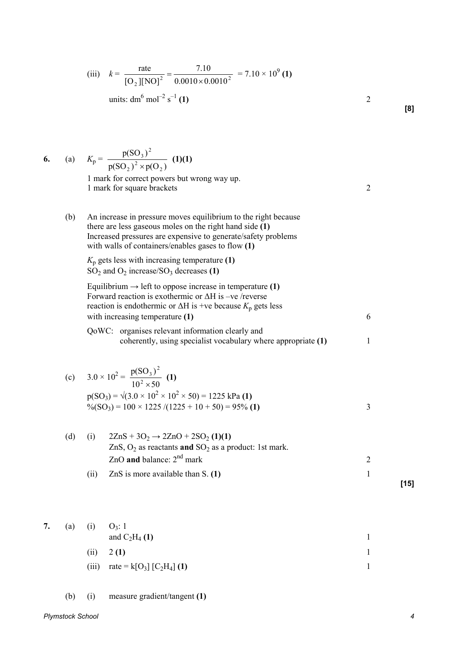(iii) 
$$
k = {\text{rate} \over [\text{O}_2][\text{NO}]^2} = {7.10 \over 0.0010 \times 0.0010^2} = 7.10 \times 10^9 \text{ (1)}
$$
  
units: dm<sup>6</sup> mol<sup>-2</sup> s<sup>-1</sup> (1)

|     | (a) $K_p = \frac{p(SO_3)^2}{p(SO_3)^2 \times p(O_3)}$ (1)(1)                                                                                                                                                                                     |                |  |
|-----|--------------------------------------------------------------------------------------------------------------------------------------------------------------------------------------------------------------------------------------------------|----------------|--|
|     | 1 mark for correct powers but wrong way up.<br>1 mark for square brackets                                                                                                                                                                        | $\overline{2}$ |  |
| (b) | An increase in pressure moves equilibrium to the right because<br>there are less gaseous moles on the right hand side (1)<br>Increased pressures are expensive to generate/safety problems<br>with walls of containers/enables gases to flow (1) |                |  |
|     | $K_p$ gets less with increasing temperature (1)<br>$SO_2$ and $O_2$ increase/SO <sub>3</sub> decreases (1)                                                                                                                                       |                |  |
|     | Equilibrium $\rightarrow$ left to oppose increase in temperature (1)<br>Forward reaction is exothermic or $\Delta H$ is -ve /reverse<br>reaction is endothermic or $\Delta H$ is +ve because $K_p$ gets less                                     |                |  |
|     | with increasing temperature (1)                                                                                                                                                                                                                  | 6              |  |
|     | QoWC: organises relevant information clearly and<br>coherently, using specialist vocabulary where appropriate (1)                                                                                                                                | 1              |  |
|     | (c) $3.0 \times 10^2 = \frac{p(SO_3)^2}{10^2 \times 50}$ (1)<br>$p(SO_3) = \sqrt{(3.0 \times 10^2 \times 10^2 \times 50)} = 1225$ kPa (1)<br>$\%$ (SO <sub>3</sub> ) = 100 × 1225 /(1225 + 10 + 50) = 95% (1)                                    | 3              |  |
|     | (d) (i) $27nS + 3O_2 \rightarrow 27nO + 2SO_2$ (1)(1)                                                                                                                                                                                            |                |  |

| (d) |      | $2\text{ZnS} + 3\text{O}_2 \rightarrow 2\text{ZnO} + 2\text{SO}_2(1)(1)$ |      |
|-----|------|--------------------------------------------------------------------------|------|
|     |      | ZnS, $O_2$ as reactants and $SO_2$ as a product: 1st mark.               |      |
|     |      | ZnO and balance: $2nd$ mark                                              |      |
|     | (11) | ZnS is more available than $S(1)$                                        |      |
|     |      |                                                                          | [15] |

(a) (i) 
$$
O_3
$$
: 1  
and  $C_2H_4$  (1)  
(ii) 2 (1) 1

- (iii) rate =  $k[O_3] [C_2H_4]$  $\int$  (1) 1
- (b) (i) measure gradient/tangent **(1)**

**7.** (a) (i) O<sup>3</sup>

 $6.$ 

**[8]**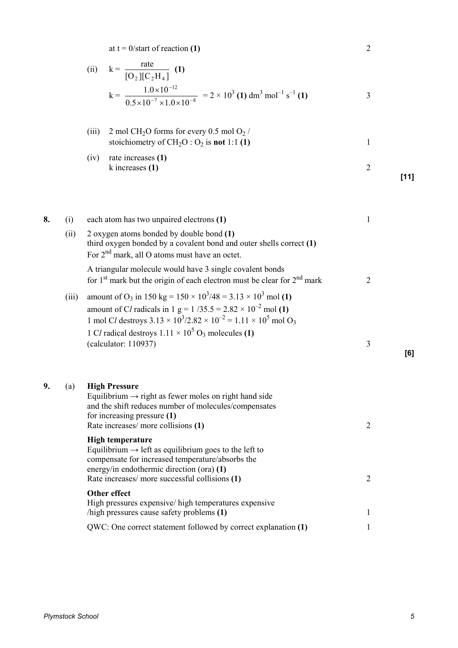at  $t = 0$ /start of reaction **(1)** 2

(ii) 
$$
k = {\text{rate} \over [O_2][C_2H_4]}
$$
 (1)  

$$
k = {1.0 \times 10^{-12} \over 0.5 \times 10^{-7} \times 1.0 \times 10^{-8}} = 2 \times 10^3 \text{ (1) dm}^3 \text{ mol}^{-1} \text{ s}^{-1} \text{ (1)}
$$
3

(iii) 2 mol CH2O forms for every 0.5 mol O<sup>2</sup> / stoichiometry of CH2O : O<sup>2</sup> is **not** 1:1 **(1)** 1

(iv) rate increases **(1)**  k increases **(1)** 2 **[11]** 

| 8. | (i)   | each atom has two unpaired electrons (1)                                                                                                                                                                                                                          | 1              |
|----|-------|-------------------------------------------------------------------------------------------------------------------------------------------------------------------------------------------------------------------------------------------------------------------|----------------|
|    | (ii)  | 2 oxygen atoms bonded by double bond (1)<br>third oxygen bonded by a covalent bond and outer shells correct (1)<br>For 2 <sup>nd</sup> mark, all O atoms must have an octet.                                                                                      |                |
|    |       | A triangular molecule would have 3 single covalent bonds<br>for 1 <sup>st</sup> mark but the origin of each electron must be clear for $2nd$ mark                                                                                                                 | $\overline{2}$ |
|    | (iii) | amount of O <sub>3</sub> in 150 kg = $150 \times 10^3/48 = 3.13 \times 10^3$ mol (1)<br>amount of Cl radicals in 1 g = $1/35.5 = 2.82 \times 10^{-2}$ mol (1)<br>1 mol Cl destroys $3.13 \times 10^3 / 2.82 \times 10^{-2} = 1.11 \times 10^5$ mol O <sub>3</sub> |                |
|    |       | 1 Cl radical destroys $1.11 \times 10^5$ O <sub>3</sub> molecules (1)                                                                                                                                                                                             | 3              |
|    |       | (calculator: 110937)                                                                                                                                                                                                                                              | [6]            |
| 9. | (a)   | <b>High Pressure</b><br>Equilibrium $\rightarrow$ right as fewer moles on right hand side<br>and the shift reduces number of molecules/compensates<br>for increasing pressure $(1)$<br>Rate increases/ more collisions (1)                                        | $\overline{2}$ |
|    |       | <b>High temperature</b><br>Equilibrium $\rightarrow$ left as equilibrium goes to the left to<br>compensate for increased temperature/absorbs the<br>energy/in endothermic direction (ora) (1)<br>Rate increases/ more successful collisions (1)                   | $\overline{2}$ |
|    |       | Other effect<br>High pressures expensive/ high temperatures expensive<br>/high pressures cause safety problems (1)                                                                                                                                                | 1              |
|    |       | QWC: One correct statement followed by correct explanation (1)                                                                                                                                                                                                    | 1              |
|    |       |                                                                                                                                                                                                                                                                   |                |